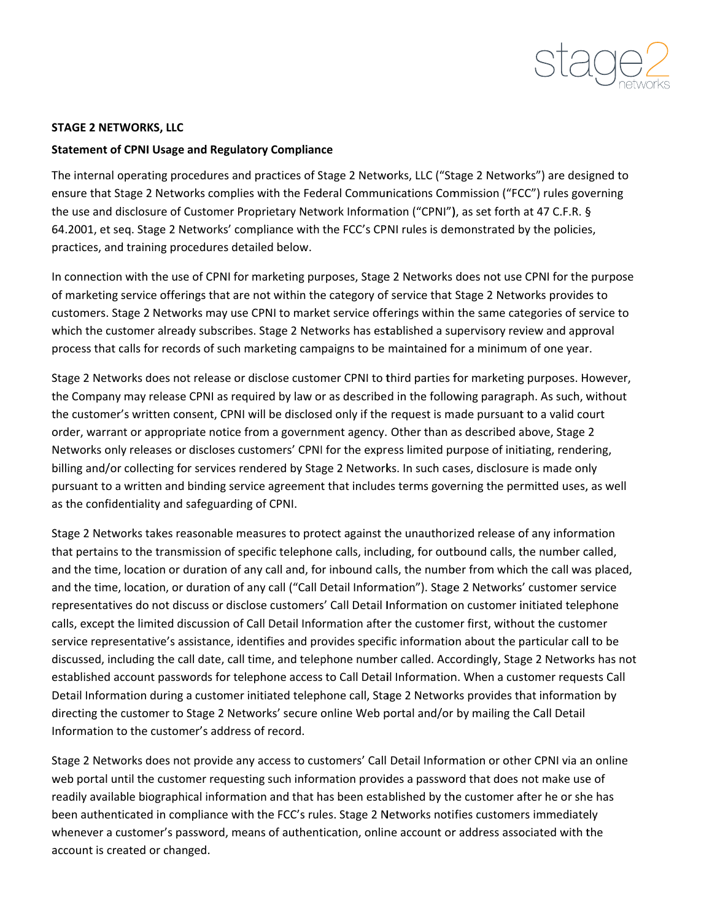

## **STAGE 2 NETWORKS, LLC**

#### **Statement of CPNI Usage and Regulatory Compliance**

The internal operating procedures and practices of Stage 2 Networks, LLC ("Stage 2 Networks") are designed to ensure that Stage 2 Networks complies with the Federal Communications Commission ("FCC") rules governing the use and disclosure of Customer Proprietary Network Information ("CPNI"), as set forth at 47 C.F.R. § 64.2001, et seq. Stage 2 Networks' compliance with the FCC's CPNI rules is demonstrated by the policies, practices, and training procedures detailed below.

In connection with the use of CPNI for marketing purposes, Stage 2 Networks does not use CPNI for the purpose of marketing service offerings that are not within the category of service that Stage 2 Networks provides to customers. Stage 2 Networks may use CPNI to market service offerings within the same categories of service to which the customer already subscribes. Stage 2 Networks has established a supervisory review and approval process that calls for records of such marketing campaigns to be maintained for a minimum of one year.

Stage 2 Networks does not release or disclose customer CPNI to third parties for marketing purposes. However, the Company may release CPNI as required by law or as described in the following paragraph. As such, without the customer's written consent, CPNI will be disclosed only if the request is made pursuant to a valid court order, warrant or appropriate notice from a government agency. Other than as described above, Stage 2 Networks only releases or discloses customers' CPNI for the express limited purpose of initiating, rendering, billing and/or collecting for services rendered by Stage 2 Networks. In such cases, disclosure is made only pursuant to a written and binding service agreement that includes terms governing the permitted uses, as well as the confidentiality and safeguarding of CPNI.

Stage 2 Networks takes reasonable measures to protect against the unauthorized release of any information that pertains to the transmission of specific telephone calls, including, for outbound calls, the number called, and the time, location or duration of any call and, for inbound calls, the number from which the call was placed, and the time, location, or duration of any call ("Call Detail Information"). Stage 2 Networks' customer service representatives do not discuss or disclose customers' Call Detail Information on customer initiated telephone calls, except the limited discussion of Call Detail Information after the customer first, without the customer service representative's assistance, identifies and provides specific information about the particular call to be discussed, including the call date, call time, and telephone number called. Accordingly, Stage 2 Networks has not established account passwords for telephone access to Call Detail Information. When a customer requests Call Detail Information during a customer initiated telephone call, Stage 2 Networks provides that information by directing the customer to Stage 2 Networks' secure online Web portal and/or by mailing the Call Detail Information to the customer's address of record.

Stage 2 Networks does not provide any access to customers' Call Detail Information or other CPNI via an online web portal until the customer requesting such information provides a password that does not make use of readily available biographical information and that has been established by the customer after he or she has been authenticated in compliance with the FCC's rules. Stage 2 Networks notifies customers immediately whenever a customer's password, means of authentication, online account or address associated with the account is created or changed.